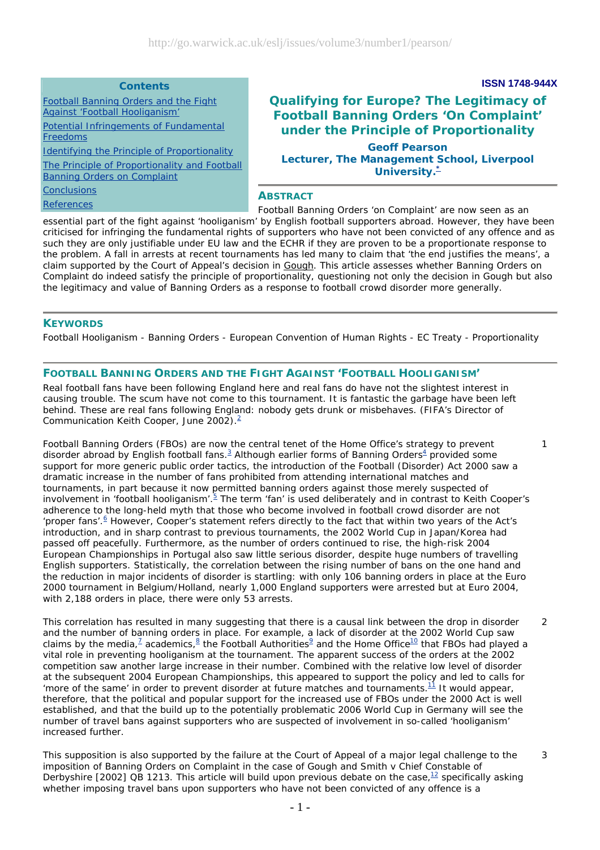## **Contents**

Football Banning Orders and the Fight Against 'Football Hooliganism'

Potential Infringements of Fundamental **Freedoms** 

Identifying the Principle of Proportionality

The Principle of Proportionality and Football Banning Orders on Complaint

**Conclusions** 

# **Qualifying for Europe? The Legitimacy of Football Banning Orders 'On Complaint' under the Principle of Proportionality Geoff Pearson Lecturer, The Management School, Liverpool University.\***

**ISSN 1748-944X**

1

3

## **ABSTRACT**

*Football Banning Orders 'on Complaint' are now seen as an essential part of the fight against 'hooliganism' by English football supporters abroad. However, they have been criticised for infringing the fundamental rights of supporters who have not been convicted of any offence and as such they are only justifiable under EU law and the ECHR if they are proven to be a proportionate response to the problem. A fall in arrests at recent tournaments has led many to claim that 'the end justifies the means', a claim supported by the Court of Appeal's decision in Gough. This article assesses whether Banning Orders on Complaint do indeed satisfy the principle of proportionality, questioning not only the decision in Gough but also the legitimacy and value of Banning Orders as a response to football crowd disorder more generally.* **References** 

## **KEYWORDS**

Football Hooliganism - Banning Orders - European Convention of Human Rights - EC Treaty - Proportionality

## **FOOTBALL BANNING ORDERS AND THE FIGHT AGAINST 'FOOTBALL HOOLIGANISM'**

Real football fans have been following England here and real fans do have not the slightest interest in causing trouble. The scum have not come to this tournament. It is fantastic the garbage have been left behind. These are real fans following England: nobody gets drunk or misbehaves. (FIFA's Director of Communication Keith Cooper, June 2002).2

Football Banning Orders (FBOs) are now the central tenet of the Home Office's strategy to prevent disorder abroad by English football fans.<sup>3</sup> Although earlier forms of Banning Orders<sup>4</sup> provided some support for more generic public order tactics, the introduction of the Football (Disorder) Act 2000 saw a dramatic increase in the number of fans prohibited from attending international matches and tournaments, in part because it now permitted banning orders against those merely suspected of involvement in 'football hooliganism'. <sup>5</sup> The term 'fan' is used deliberately and in contrast to Keith Cooper's adherence to the long-held myth that those who become involved in football crowd disorder are not 'proper fans'.<sup>6</sup> However, Cooper's statement refers directly to the fact that within two years of the Act's introduction, and in sharp contrast to previous tournaments, the 2002 World Cup in Japan/Korea had passed off peacefully. Furthermore, as the number of orders continued to rise, the high-risk 2004 European Championships in Portugal also saw little serious disorder, despite huge numbers of travelling English supporters. Statistically, the correlation between the rising number of bans on the one hand and the reduction in major incidents of disorder is startling: with only 106 banning orders in place at the Euro 2000 tournament in Belgium/Holland, nearly 1,000 England supporters were arrested but at Euro 2004, with 2,188 orders in place, there were only 53 arrests.

This correlation has resulted in many suggesting that there is a causal link between the drop in disorder and the number of banning orders in place. For example, a lack of disorder at the 2002 World Cup saw claims by the media,<sup>Z</sup> academics, $8$  the Football Authorities<sup>2</sup> and the Home Office<sup>10</sup> that FBOs had played a vital role in preventing hooliganism at the tournament. The apparent success of the orders at the 2002 competition saw another large increase in their number. Combined with the relative low level of disorder at the subsequent 2004 European Championships, this appeared to support the policy and led to calls for 'more of the same' in order to prevent disorder at future matches and tournaments. $11$  It would appear, therefore, that the political and popular support for the increased use of FBOs under the 2000 Act is well established, and that the build up to the potentially problematic 2006 World Cup in Germany will see the number of travel bans against supporters who are suspected of involvement in so-called 'hooliganism' increased further.  $\mathcal{L}$ 

This supposition is also supported by the failure at the Court of Appeal of a major legal challenge to the imposition of Banning Orders on Complaint in the case of *Gough and Smith v Chief Constable of Derbyshire* [2002] QB 1213. This article will build upon previous debate on the case,<sup>12</sup> specifically asking whether imposing travel bans upon supporters who have not been convicted of any offence is a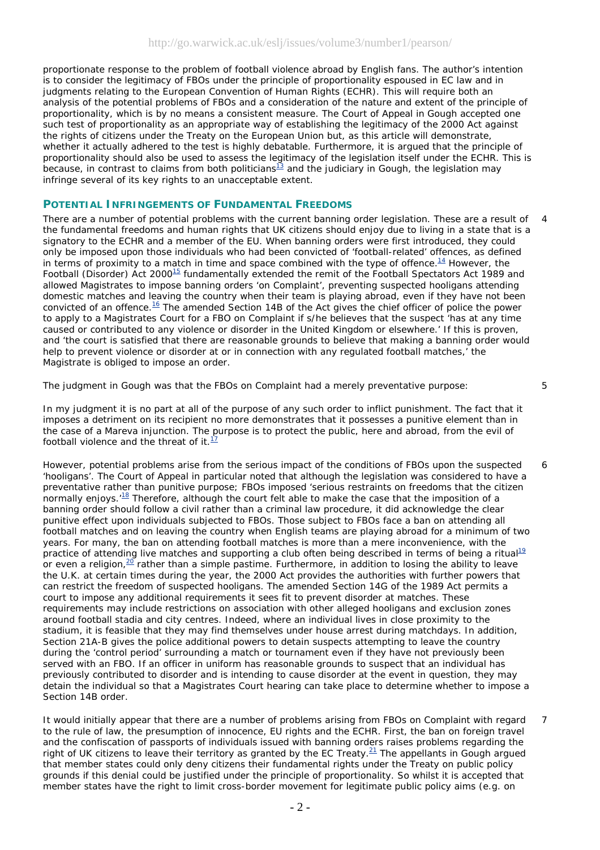proportionate response to the problem of football violence abroad by English fans. The author's intention is to consider the legitimacy of FBOs under the principle of proportionality espoused in EC law and in judgments relating to the European Convention of Human Rights (ECHR). This will require both an analysis of the potential problems of FBOs and a consideration of the nature and extent of the principle of proportionality, which is by no means a consistent measure. The Court of Appeal in *Gough* accepted one such test of proportionality as an appropriate way of establishing the legitimacy of the 2000 Act against the rights of citizens under the Treaty on the European Union but, as this article will demonstrate, whether it actually adhered to the test is highly debatable. Furthermore, it is argued that the principle of proportionality should also be used to assess the legitimacy of the legislation itself under the ECHR. This is because, in contrast to claims from both politicians<sup>13</sup> and the judiciary in *Gough*, the legislation may infringe several of its key rights to an unacceptable extent.

## **POTENTIAL INFRINGEMENTS OF FUNDAMENTAL FREEDOMS**

There are a number of potential problems with the current banning order legislation. These are a result of the fundamental freedoms and human rights that UK citizens should enjoy due to living in a state that is a signatory to the ECHR and a member of the EU. When banning orders were first introduced, they could only be imposed upon those individuals who had been convicted of 'football-related' offences, as defined in terms of proximity to a match in time and space combined with the type of offence.<sup>14</sup> However, the Football (Disorder) Act 2000<sup>15</sup> fundamentally extended the remit of the Football Spectators Act 1989 and allowed Magistrates to impose banning orders 'on Complaint', preventing suspected hooligans attending domestic matches and leaving the country when their team is playing abroad, even if they have not been convicted of an offence.<sup>16</sup> The amended Section 14B of the Act gives the chief officer of police the power to apply to a Magistrates Court for a FBO on Complaint if s/he believes that the suspect 'has at any time caused or contributed to any violence or disorder in the United Kingdom or elsewhere.' If this is proven, and 'the court is satisfied that there are reasonable grounds to believe that making a banning order would help to prevent violence or disorder at or in connection with any regulated football matches,' the Magistrate is obliged to impose an order. 4

The judgment in *Gough* was that the FBOs on Complaint had a merely preventative purpose:

5

6

In my judgment it is no part at all of the purpose of any such order to inflict punishment. The fact that it imposes a detriment on its recipient no more demonstrates that it possesses a punitive element than in the case of a *Mareva* injunction. The purpose is to protect the public, here and abroad, from the evil of football violence and the threat of it. $<sup>1</sup>$ </sup>

However, potential problems arise from the serious impact of the conditions of FBOs upon the suspected 'hooligans'. The Court of Appeal in particular noted that although the legislation was considered to have a preventative rather than punitive *purpose*; FBOs imposed 'serious restraints on freedoms that the citizen normally enjoys. $18$  Therefore, although the court felt able to make the case that the imposition of a banning order should follow a civil rather than a criminal law procedure, it did acknowledge the clear punitive *effect* upon individuals subjected to FBOs. Those subject to FBOs face a ban on attending all football matches and on leaving the country when English teams are playing abroad for a minimum of two years. For many, the ban on attending football matches is more than a mere inconvenience, with the practice of attending live matches and supporting a club often being described in terms of being a ritual<sup>19</sup> or even a religion, $^{20}$  rather than a simple pastime. Furthermore, in addition to losing the ability to leave the U.K. at certain times during the year, the 2000 Act provides the authorities with further powers that can restrict the freedom of suspected hooligans. The amended Section 14G of the 1989 Act permits a court to impose any additional requirements it sees fit to prevent disorder at matches. These requirements may include restrictions on association with other alleged hooligans and exclusion zones around football stadia and city centres. Indeed, where an individual lives in close proximity to the stadium, it is feasible that they may find themselves under house arrest during matchdays. In addition, Section 21A-B gives the police additional powers to detain suspects attempting to leave the country during the 'control period' surrounding a match or tournament even if they have not previously been served with an FBO. If an officer in uniform has reasonable grounds to suspect that an individual has previously contributed to disorder and is intending to cause disorder at the event in question, they may detain the individual so that a Magistrates Court hearing can take place to determine whether to impose a Section 14B order.

It would initially appear that there are a number of problems arising from FBOs on Complaint with regard to the rule of law, the presumption of innocence, EU rights and the ECHR. First, the ban on foreign travel and the confiscation of passports of individuals issued with banning orders raises problems regarding the right of UK citizens to leave their territory as granted by the EC Treaty.21 The appellants in *Gough* argued that member states could only deny citizens their fundamental rights under the Treaty on public policy grounds if this denial could be justified under the principle of proportionality. So whilst it is accepted that member states have the right to limit cross-border movement for legitimate public policy aims (e.g. on 7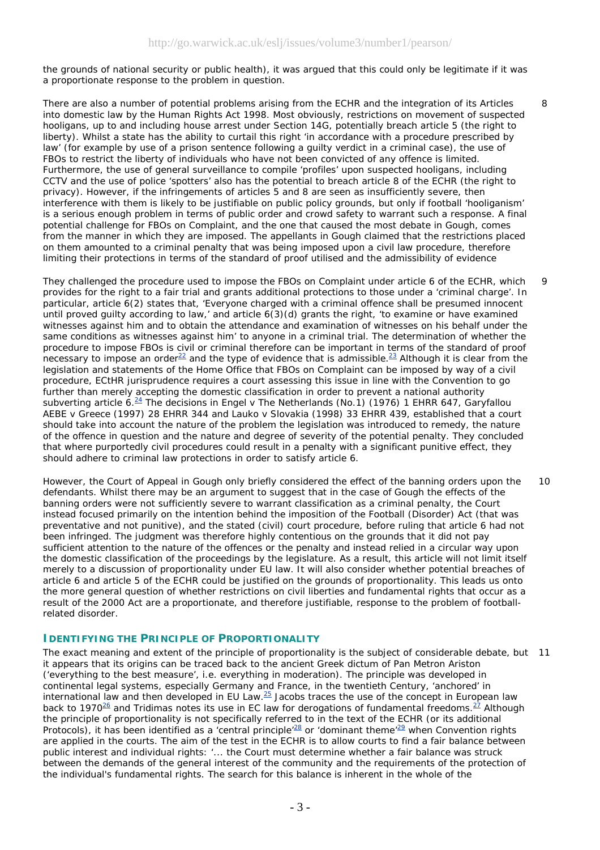$\mathsf{Q}$ 

 $\overline{Q}$ 

the grounds of national security or public health), it was argued that this could only be legitimate if it was a proportionate response to the problem in question.

There are also a number of potential problems arising from the ECHR and the integration of its Articles into domestic law by the Human Rights Act 1998. Most obviously, restrictions on movement of suspected hooligans, up to and including house arrest under Section 14G, potentially breach article 5 (the right to liberty). Whilst a state has the ability to curtail this right 'in accordance with a procedure prescribed by law' (for example by use of a prison sentence following a guilty verdict in a criminal case), the use of FBOs to restrict the liberty of individuals who have not been convicted of any offence is limited. Furthermore, the use of general surveillance to compile 'profiles' upon suspected hooligans, including CCTV and the use of police 'spotters' also has the potential to breach article 8 of the ECHR (the right to privacy). However, if the infringements of articles 5 and 8 are seen as insufficiently severe, then interference with them is likely to be justifiable on public policy grounds, but only if football 'hooliganism' is a serious enough problem in terms of public order and crowd safety to warrant such a response. A final potential challenge for FBOs on Complaint, and the one that caused the most debate in *Gough*, comes from the manner in which they are imposed. The appellants in *Gough* claimed that the restrictions placed on them amounted to a criminal penalty that was being imposed upon a civil law procedure, therefore limiting their protections in terms of the standard of proof utilised and the admissibility of evidence

They challenged the procedure used to impose the FBOs on Complaint under article 6 of the ECHR, which provides for the right to a fair trial and grants additional protections to those under a 'criminal charge'. In particular, article 6(2) states that, 'Everyone charged with a criminal offence shall be presumed innocent until proved guilty according to law,' and article 6(3)(d) grants the right, 'to examine or have examined witnesses against him and to obtain the attendance and examination of witnesses on his behalf under the same conditions as witnesses against him' to anyone in a criminal trial. The determination of whether the procedure to impose FBOs is civil or criminal therefore can be important in terms of the standard of proof necessary to impose an order<sup>22</sup> and the type of evidence that is admissible.<sup>23</sup> Although it is clear from the legislation and statements of the Home Office that FBOs on Complaint can be imposed by way of a civil procedure, ECtHR jurisprudence requires a court assessing this issue in line with the Convention to go further than merely accepting the domestic classification in order to prevent a national authority subverting article 6.24 The decisions in *Engel v The Netherlands* (No.1) (1976) 1 EHRR 647, *Garyfallou AEBE v Greece* (1997) 28 EHRR 344 and *Lauko v Slovakia* (1998) 33 EHRR 439*,* established that a court should take into account the nature of the problem the legislation was introduced to remedy, the nature of the offence in question and the nature and degree of severity of the potential penalty. They concluded that where purportedly civil procedures could result in a penalty with a significant punitive effect, they should adhere to criminal law protections in order to satisfy article 6.

However, the Court of Appeal in *Gough* only briefly considered the effect of the banning orders upon the defendants. Whilst there may be an argument to suggest that in the case of *Gough* the effects of the banning orders were not sufficiently severe to warrant classification as a criminal penalty, the Court instead focused primarily on the intention behind the imposition of the Football (Disorder) Act (that was preventative and not punitive), and the stated (civil) court procedure, before ruling that article 6 had not been infringed. The judgment was therefore highly contentious on the grounds that it did not pay sufficient attention to the nature of the offences or the penalty and instead relied in a circular way upon the domestic classification of the proceedings by the legislature. As a result, this article will not limit itself merely to a discussion of proportionality under EU law. It will also consider whether potential breaches of article 6 and article 5 of the ECHR could be justified on the grounds of proportionality. This leads us onto the more general question of whether restrictions on civil liberties and fundamental rights that occur as a result of the 2000 Act are a proportionate, and therefore justifiable, response to the problem of footballrelated disorder.  $1<sub>0</sub>$ 

## **IDENTIFYING THE PRINCIPLE OF PROPORTIONALITY**

The exact meaning and extent of the principle of proportionality is the subject of considerable debate, but 11 it appears that its origins can be traced back to the ancient Greek dictum of Pan Metron Ariston ('everything to the best measure', i.e. everything in moderation). The principle was developed in continental legal systems, especially Germany and France, in the twentieth Century, 'anchored' in international law and then developed in EU Law.25 Jacobs traces the use of the concept in European law back to 1970<sup>26</sup> and Tridimas notes its use in EC law for derogations of fundamental freedoms.<sup>27</sup> Although the principle of proportionality is not specifically referred to in the text of the ECHR (or its additional Protocols), it has been identified as a 'central principle'<sup>28</sup> or 'dominant theme'<sup>29</sup> when Convention rights are applied in the courts. The aim of the test in the ECHR is to allow courts to find a fair balance between public interest and individual rights: '... the Court must determine whether a fair balance was struck between the demands of the general interest of the community and the requirements of the protection of the individual's fundamental rights. The search for this balance is inherent in the whole of the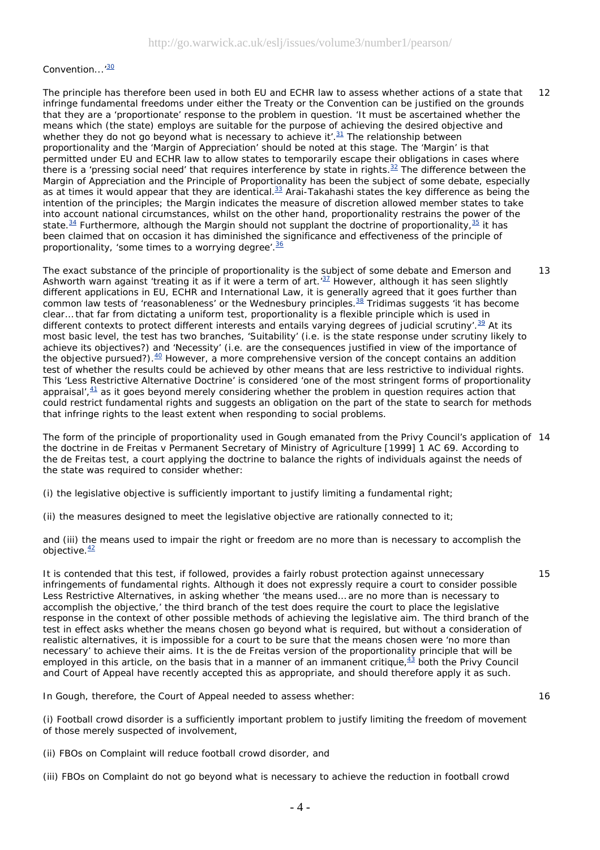#### Convention...<sup>'30</sup>

The principle has therefore been used in both EU and ECHR law to assess whether actions of a state that infringe fundamental freedoms under either the Treaty or the Convention can be justified on the grounds that they are a 'proportionate' response to the problem in question. 'It must be ascertained whether the means which (the state) employs are suitable for the purpose of achieving the desired objective and whether they do not go beyond what is necessary to achieve it'. $31$  The relationship between proportionality and the 'Margin of Appreciation' should be noted at this stage. The 'Margin' is that permitted under EU and ECHR law to allow states to temporarily escape their obligations in cases where there is a 'pressing social need' that requires interference by state in rights.<sup>32</sup> The difference between the Margin of Appreciation and the Principle of Proportionality has been the subject of some debate, especially as at times it would appear that they are identical.<sup>33</sup> Arai-Takahashi states the key difference as being the intention of the principles; the Margin indicates the measure of discretion allowed member states to take into account national circumstances, whilst on the other hand, proportionality restrains the power of the state.<sup>34</sup> Furthermore, although the Margin should not supplant the doctrine of proportionality,<sup>35</sup> it has been claimed that on occasion it has diminished the significance and effectiveness of the principle of proportionality, 'some times to a worrying degree'.<sup>36</sup> 12

The exact substance of the principle of proportionality is the subject of some debate and Emerson and Ashworth warn against 'treating it as if it were a term of art. $37$  However, although it has seen slightly different applications in EU, ECHR and International Law, it is generally agreed that it goes further than common law tests of 'reasonableness' or the *Wednesbury* principles.38 Tridimas suggests 'it has become clear… that far from dictating a uniform test, proportionality is a flexible principle which is used in different contexts to protect different interests and entails varying degrees of judicial scrutiny'. $39$  At its most basic level, the test has two branches, 'Suitability' (i.e. is the state response under scrutiny likely to achieve its objectives?) and 'Necessity' (i.e. are the consequences justified in view of the importance of the objective pursued?). $40$  However, a more comprehensive version of the concept contains an addition test of whether the results could be achieved by other means that are less restrictive to individual rights. This 'Less Restrictive Alternative Doctrine' is considered 'one of the most stringent forms of proportionality appraisal', $\frac{41}{7}$  as it goes beyond merely considering whether the problem in question requires action that could restrict fundamental rights and suggests an obligation on the part of the state to search for methods that infringe rights to the least extent when responding to social problems. 13

The form of the principle of proportionality used in *Gough* emanated from the Privy Council's application of 14 the doctrine in *de Freitas v Permanent Secretary of Ministry of Agriculture* [1999] 1 AC 69. According to the *de Freitas* test, a court applying the doctrine to balance the rights of individuals against the needs of the state was required to consider whether:

(i) the legislative objective is sufficiently important to justify limiting a fundamental right;

(ii) the measures designed to meet the legislative objective are rationally connected to it;

and (iii) the means used to impair the right or freedom are no more than is necessary to accomplish the objective. $\frac{42}{ }$ 

It is contended that this test, if followed, provides a fairly robust protection against unnecessary infringements of fundamental rights. Although it does not expressly require a court to consider possible Less Restrictive Alternatives, in asking whether 'the means used… are no more than is necessary to accomplish the objective,' the third branch of the test does require the court to place the legislative response in the context of other possible methods of achieving the legislative aim. The third branch of the test in effect asks whether the means chosen go beyond what is required, but without a consideration of realistic alternatives, it is impossible for a court to be sure that the means chosen were 'no more than necessary' to achieve their aims. It is the *de Freitas* version of the proportionality principle that will be employed in this article, on the basis that in a manner of an immanent critique,  $\frac{43}{1}$  both the Privy Council and Court of Appeal have recently accepted this as appropriate, and should therefore apply it as such.

In *Gough*, therefore, the Court of Appeal needed to assess whether:

(i) Football crowd disorder is a sufficiently important problem to justify limiting the freedom of movement of those merely suspected of involvement,

(ii) FBOs on Complaint will reduce football crowd disorder, and

(iii) FBOs on Complaint do not go beyond what is necessary to achieve the reduction in football crowd

15

16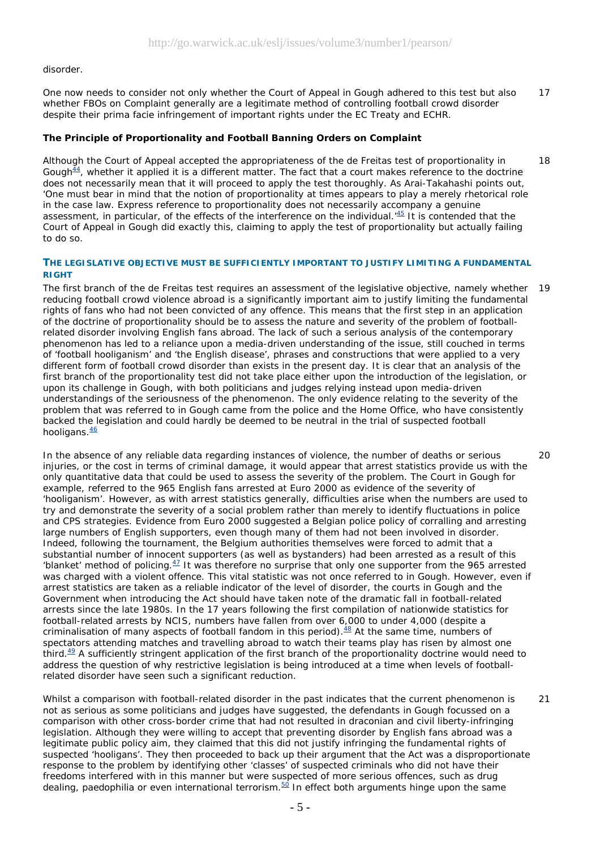#### disorder.

One now needs to consider not only whether the Court of Appeal in *Gough* adhered to this test but also whether FBOs on Complaint generally are a legitimate method of controlling football crowd disorder despite their prima facie infringement of important rights under the EC Treaty and ECHR. 17

## **The Principle of Proportionality and Football Banning Orders on Complaint**

Although the Court of Appeal accepted the appropriateness of the *de Freitas* test of proportionality in *Gough<sup>44</sup>*, whether it applied it is a different matter. The fact that a court makes reference to the doctrine does not necessarily mean that it will proceed to apply the test thoroughly. As Arai-Takahashi points out, 'One must bear in mind that the notion of proportionality at times appears to play a merely rhetorical role in the case law. Express reference to proportionality does not necessarily accompany a genuine assessment, in particular, of the effects of the interference on the individual.<sup>45</sup> It is contended that the Court of Appeal in *Gough* did exactly this, claiming to apply the test of proportionality but actually failing to do so. 18

## **THE LEGISLATIVE OBJECTIVE MUST BE SUFFICIENTLY IMPORTANT TO JUSTIFY LIMITING A FUNDAMENTAL RIGHT**

The first branch of the *de Freitas* test requires an assessment of the legislative objective, namely whether 19 reducing football crowd violence abroad is a significantly important aim to justify limiting the fundamental rights of fans who had not been convicted of any offence. This means that the first step in an application of the doctrine of proportionality should be to assess the nature and severity of the problem of footballrelated disorder involving English fans abroad. The lack of such a serious analysis of the contemporary phenomenon has led to a reliance upon a media-driven understanding of the issue, still couched in terms of 'football hooliganism' and 'the English disease', phrases and constructions that were applied to a very different form of football crowd disorder than exists in the present day. It is clear that an analysis of the first branch of the proportionality test did not take place either upon the introduction of the legislation, or upon its challenge in *Gough*, with both politicians and judges relying instead upon media-driven understandings of the seriousness of the phenomenon. The only evidence relating to the severity of the problem that was referred to in *Gough* came from the police and the Home Office, who have consistently backed the legislation and could hardly be deemed to be neutral in the trial of suspected football hooligans. $\frac{46}{5}$ 

20

In the absence of any reliable data regarding instances of violence, the number of deaths or serious injuries, or the cost in terms of criminal damage, it would appear that arrest statistics provide us with the only quantitative data that could be used to assess the severity of the problem. The Court in *Gough* for example, referred to the 965 English fans arrested at Euro 2000 as evidence of the severity of 'hooliganism'. However, as with arrest statistics generally, difficulties arise when the numbers are used to try and demonstrate the severity of a social problem rather than merely to identify fluctuations in police and CPS strategies. Evidence from Euro 2000 suggested a Belgian police policy of corralling and arresting large numbers of English supporters, even though many of them had not been involved in disorder. Indeed, following the tournament, the Belgium authorities themselves were forced to admit that a substantial number of innocent supporters (as well as bystanders) had been arrested as a result of this 'blanket' method of policing.<sup>47</sup> It was therefore no surprise that only one supporter from the 965 arrested was charged with a violent offence. This vital statistic was not once referred to in *Gough*. However, even *if* arrest statistics are taken as a reliable indicator of the level of disorder, the courts in *Gough* and the Government when introducing the Act should have taken note of the dramatic fall in football-related arrests since the late 1980s. In the 17 years following the first compilation of nationwide statistics for football-related arrests by NCIS, numbers have fallen from over 6,000 to under 4,000 (despite a criminalisation of many aspects of football fandom in this period). $48$  At the same time, numbers of spectators attending matches and travelling abroad to watch their teams play has risen by almost one third. $49$  A sufficiently stringent application of the first branch of the proportionality doctrine would need to address the question of why restrictive legislation is being introduced at a time when levels of footballrelated disorder have seen such a significant reduction.

Whilst a comparison with football-related disorder in the past indicates that the current phenomenon is not as serious as some politicians and judges have suggested, the defendants in *Gough* focussed on a comparison with other cross-border crime that had not resulted in draconian and civil liberty-infringing legislation. Although they were willing to accept that preventing disorder by English fans abroad was a legitimate public policy aim, they claimed that this did not justify infringing the fundamental rights of suspected 'hooligans'. They then proceeded to back up their argument that the Act was a disproportionate response to the problem by identifying other 'classes' of suspected criminals who did not have their freedoms interfered with in this manner but were suspected of more serious offences, such as drug dealing, paedophilia or even international terrorism.50 In effect both arguments hinge upon the same 21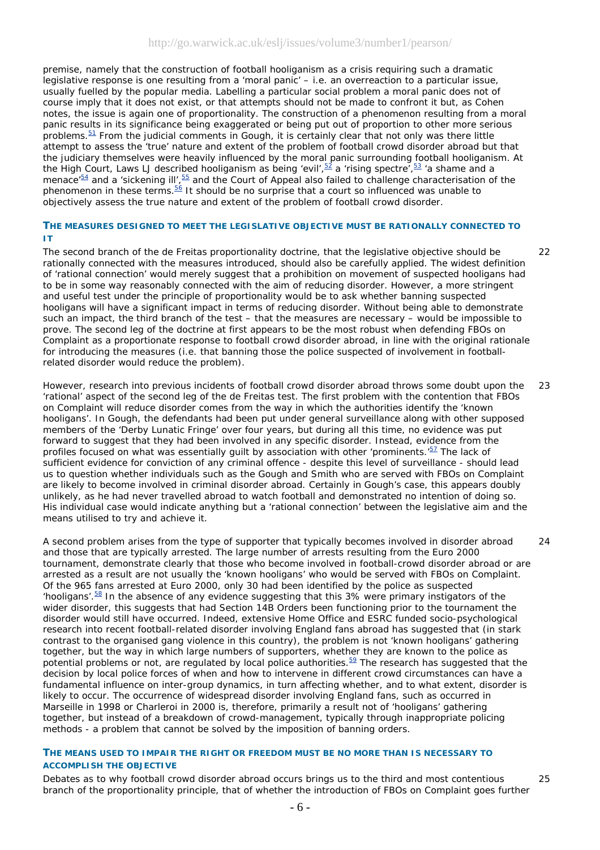premise, namely that the construction of football hooliganism as a crisis requiring such a dramatic legislative response is one resulting from a 'moral panic' – i.e. an overreaction to a particular issue, usually fuelled by the popular media. Labelling a particular social problem a moral panic does not of course imply that it does not exist, or that attempts should not be made to confront it but, as Cohen notes, the issue is again one of proportionality. The construction of a phenomenon resulting from a moral panic results in its significance being exaggerated or being put out of proportion to other more serious problems.51 From the judicial comments in *Gough*, it is certainly clear that not only was there little attempt to assess the 'true' nature and extent of the problem of football crowd disorder abroad but that the judiciary themselves were heavily influenced by the moral panic surrounding football hooliganism. At the High Court, Laws LJ described hooliganism as being 'evil',  $\frac{52}{2}$  a 'rising spectre',  $\frac{53}{2}$  'a shame and a menace<sup>'54</sup> and a 'sickening ill',<sup>55</sup> and the Court of Appeal also failed to challenge characterisation of the phenomenon in these terms.<sup>56</sup> It should be no surprise that a court so influenced was unable to objectively assess the true nature and extent of the problem of football crowd disorder.

## **THE MEASURES DESIGNED TO MEET THE LEGISLATIVE OBJECTIVE MUST BE RATIONALLY CONNECTED TO IT**

The second branch of the *de Freitas* proportionality doctrine, that the legislative objective should be rationally connected with the measures introduced, should also be carefully applied. The widest definition of 'rational connection' would merely suggest that a prohibition on movement of suspected hooligans had to be in some way reasonably connected with the aim of reducing disorder. However, a more stringent and useful test under the principle of proportionality would be to ask whether banning suspected hooligans will have a significant impact in terms of reducing disorder. Without being able to demonstrate such an impact, the third branch of the test – that the measures are necessary – would be impossible to prove. The second leg of the doctrine at first appears to be the most robust when defending FBOs on Complaint as a proportionate response to football crowd disorder abroad, in line with the original rationale for introducing the measures (i.e. that banning those the police suspected of involvement in footballrelated disorder would reduce the problem).

However, research into previous incidents of football crowd disorder abroad throws some doubt upon the 'rational' aspect of the second leg of the *de Freitas* test. The first problem with the contention that FBOs on Complaint will reduce disorder comes from the way in which the authorities identify the 'known hooligans'. In *Gough*, the defendants had been put under general surveillance along with other supposed members of the 'Derby Lunatic Fringe' over four years, but during all this time, no evidence was put forward to suggest that they had been involved in any specific disorder. Instead, evidence from the profiles focused on what was essentially guilt by association with other 'prominents.<sup>57</sup> The lack of sufficient evidence for conviction of any criminal offence - despite this level of surveillance - should lead us to question whether individuals such as the Gough and Smith who are served with FBOs on Complaint are likely to become involved in criminal disorder abroad. Certainly in Gough's case, this appears doubly unlikely, as he had never travelled abroad to watch football and demonstrated no intention of doing so. His individual case would indicate anything but a 'rational connection' between the legislative aim and the means utilised to try and achieve it.  $23$ 

A second problem arises from the type of supporter that typically becomes involved in disorder abroad and those that are typically arrested. The large number of arrests resulting from the Euro 2000 tournament, demonstrate clearly that those who become involved in football-crowd disorder abroad or are arrested as a result are not usually the 'known hooligans' who would be served with FBOs on Complaint. Of the 965 fans arrested at Euro 2000, only 30 had been identified by the police as suspected 'hooligans'. $58$  In the absence of any evidence suggesting that this 3% were primary instigators of the wider disorder, this suggests that had Section 14B Orders been functioning prior to the tournament the disorder would still have occurred. Indeed, extensive Home Office and ESRC funded socio-psychological research into recent football-related disorder involving England fans abroad has suggested that (in stark contrast to the organised gang violence in this country), the problem is not 'known hooligans' gathering together, but the way in which large numbers of supporters, whether they are known to the police as potential problems or not, are regulated by local police authorities. $\frac{59}{2}$  The research has suggested that the decision by local police forces of when and how to intervene in different crowd circumstances can have a fundamental influence on inter-group dynamics, in turn affecting whether, and to what extent, disorder is likely to occur. The occurrence of widespread disorder involving England fans, such as occurred in Marseille in 1998 or Charleroi in 2000 is, therefore, primarily a result not of 'hooligans' gathering together, but instead of a breakdown of crowd-management, typically through inappropriate policing methods - a problem that cannot be solved by the imposition of banning orders.

## **THE MEANS USED TO IMPAIR THE RIGHT OR FREEDOM MUST BE NO MORE THAN IS NECESSARY TO ACCOMPLISH THE OBJECTIVE**

Debates as to why football crowd disorder abroad occurs brings us to the third and most contentious branch of the proportionality principle, that of whether the introduction of FBOs on Complaint goes further 25

 $24$ 

22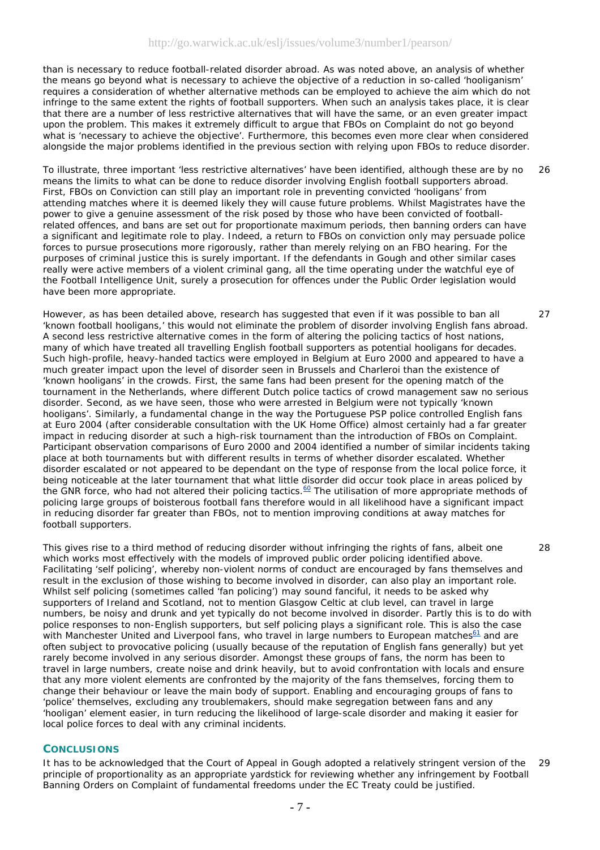than is necessary to reduce football-related disorder abroad. As was noted above, an analysis of whether the means go beyond what is necessary to achieve the objective of a reduction in so-called 'hooliganism' requires a consideration of whether alternative methods can be employed to achieve the aim which do not infringe to the same extent the rights of football supporters. When such an analysis takes place, it is clear that there are a number of less restrictive alternatives that will have the same, or an even greater impact upon the problem. This makes it extremely difficult to argue that FBOs on Complaint do not go beyond what is 'necessary to achieve the objective'. Furthermore, this becomes even more clear when considered alongside the major problems identified in the previous section with relying upon FBOs to reduce disorder.

To illustrate, three important 'less restrictive alternatives' have been identified, although these are by no means the limits to what can be done to reduce disorder involving English football supporters abroad. First, FBOs *on Conviction* can still play an important role in preventing convicted 'hooligans' from attending matches where it is deemed likely they will cause future problems. Whilst Magistrates have the power to give a genuine assessment of the risk posed by those who have been convicted of footballrelated offences, and bans are set out for proportionate maximum periods, then banning orders can have a significant and legitimate role to play. Indeed, a return to FBOs on conviction only may persuade police forces to pursue prosecutions more rigorously, rather than merely relying on an FBO hearing. For the purposes of criminal justice this is surely important. *If* the defendants in *Gough* and other similar cases really were active members of a violent criminal gang, all the time operating under the watchful eye of the Football Intelligence Unit, surely a prosecution for offences under the Public Order legislation would have been more appropriate. 26

27

28

However, as has been detailed above, research has suggested that even if it was possible to ban all 'known football hooligans,' this would not eliminate the problem of disorder involving English fans abroad. A second less restrictive alternative comes in the form of altering the policing tactics of host nations, many of which have treated all travelling English football supporters as potential hooligans for decades. Such high-profile, heavy-handed tactics were employed in Belgium at Euro 2000 and appeared to have a much greater impact upon the level of disorder seen in Brussels and Charleroi than the existence of 'known hooligans' in the crowds. First, the same fans had been present for the opening match of the tournament in the Netherlands, where different Dutch police tactics of crowd management saw no serious disorder. Second, as we have seen, those who were arrested in Belgium were not typically 'known hooligans'. Similarly, a fundamental change in the way the Portuguese PSP police controlled English fans at Euro 2004 (after considerable consultation with the UK Home Office) almost certainly had a far greater impact in reducing disorder at such a high-risk tournament than the introduction of FBOs on Complaint. Participant observation comparisons of Euro 2000 and 2004 identified a number of similar incidents taking place at both tournaments but with different results in terms of whether disorder escalated. Whether disorder escalated or not appeared to be dependant on the type of response from the local police force, it being noticeable at the later tournament that what little disorder did occur took place in areas policed by the GNR force, who had not altered their policing tactics.<sup>60</sup> The utilisation of more appropriate methods of policing large groups of boisterous football fans therefore would in all likelihood have a significant impact in reducing disorder far greater than FBOs, not to mention improving conditions at away matches for football supporters.

This gives rise to a third method of reducing disorder without infringing the rights of fans, albeit one which works most effectively with the models of improved public order policing identified above. Facilitating 'self policing', whereby non-violent norms of conduct are encouraged by fans themselves and result in the exclusion of those wishing to become involved in disorder, can also play an important role. Whilst self policing (sometimes called 'fan policing') may sound fanciful, it needs to be asked why supporters of Ireland and Scotland, not to mention Glasgow Celtic at club level, can travel in large numbers, be noisy and drunk and yet typically do not become involved in disorder. Partly this is to do with police responses to non-English supporters, but self policing plays a significant role. This is also the case with Manchester United and Liverpool fans, who travel in large numbers to European matches<sup>61</sup> and are often subject to provocative policing (usually because of the reputation of English fans generally) but yet rarely become involved in any serious disorder. Amongst these groups of fans, the norm has been to travel in large numbers, create noise and drink heavily, but to avoid confrontation with locals and ensure that any more violent elements are confronted by the majority of the fans themselves, forcing them to change their behaviour or leave the main body of support. Enabling and encouraging groups of fans to 'police' themselves, excluding any troublemakers, should make segregation between fans and any 'hooligan' element easier, in turn reducing the likelihood of large-scale disorder and making it easier for local police forces to deal with any criminal incidents.

## **CONCLUSIONS**

It has to be acknowledged that the Court of Appeal in *Gough* adopted a relatively stringent version of the principle of proportionality as an appropriate yardstick for reviewing whether any infringement by Football Banning Orders on Complaint of fundamental freedoms under the EC Treaty could be justified.  $29$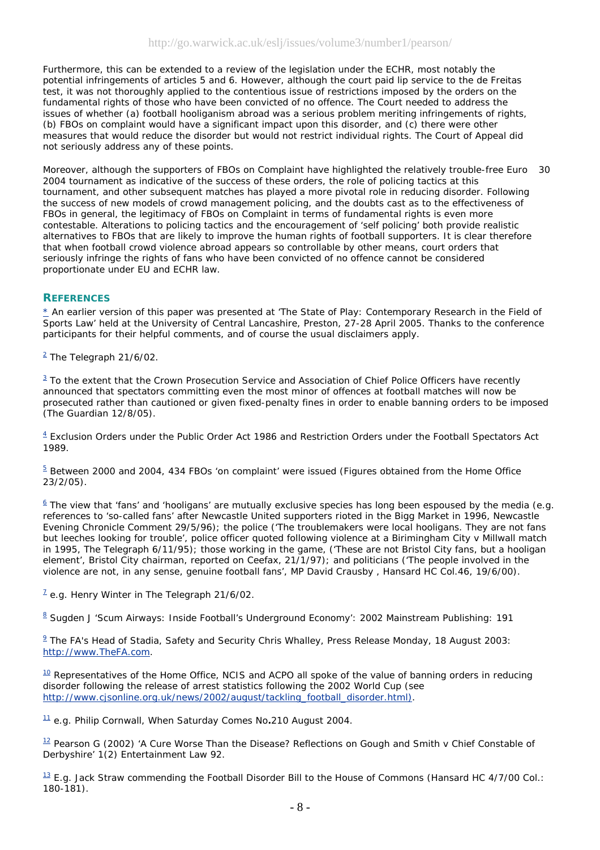Furthermore, this can be extended to a review of the legislation under the ECHR, most notably the potential infringements of articles 5 and 6. However, although the court paid lip service to the *de Freitas* test, it was not thoroughly applied to the contentious issue of restrictions imposed by the orders on the fundamental rights of those who have been convicted of no offence. The Court needed to address the issues of whether (a) football hooliganism abroad was a serious problem meriting infringements of rights, (b) FBOs on complaint would have a significant impact upon this disorder, and (c) there were other measures that would reduce the disorder but would not restrict individual rights. The Court of Appeal did not seriously address any of these points.

Moreover, although the supporters of FBOs on Complaint have highlighted the relatively trouble-free Euro 2004 tournament as indicative of the success of these orders, the role of policing tactics at this tournament, and other subsequent matches has played a more pivotal role in reducing disorder. Following the success of new models of crowd management policing, and the doubts cast as to the effectiveness of FBOs in general, the legitimacy of FBOs on Complaint in terms of fundamental rights is even more contestable. Alterations to policing tactics and the encouragement of 'self policing' both provide realistic alternatives to FBOs that are likely to improve the human rights of football supporters. It is clear therefore that when football crowd violence abroad appears so controllable by other means, court orders that seriously infringe the rights of fans who have been convicted of no offence cannot be considered proportionate under EU and ECHR law. 30

## **REFERENCES**

\* An earlier version of this paper was presented at 'The State of Play: Contemporary Research in the Field of Sports Law' held at the University of Central Lancashire, Preston, 27-28 April 2005. Thanks to the conference participants for their helpful comments, and of course the usual disclaimers apply.

<sup>2</sup> *The Telegraph* 21/6/02.

 $3$  To the extent that the Crown Prosecution Service and Association of Chief Police Officers have recently announced that spectators committing even the most minor of offences at football matches will now be prosecuted rather than cautioned or given fixed-penalty fines in order to enable banning orders to be imposed (*The Guardian* 12/8/05).

 $4$  Exclusion Orders under the Public Order Act 1986 and Restriction Orders under the Football Spectators Act 1989.

 $5$  Between 2000 and 2004, 434 FBOs 'on complaint' were issued (Figures obtained from the Home Office 23/2/05).

 $\frac{6}{2}$  The view that 'fans' and 'hooligans' are mutually exclusive species has long been espoused by the media (e.g. references to 'so-called fans' after Newcastle United supporters rioted in the Bigg Market in 1996, *Newcastle Evening Chronicle* Comment 29/5/96); the police ('The troublemakers were local hooligans. They are not fans but leeches looking for trouble', police officer quoted following violence at a Birimingham City v Millwall match in 1995, *The Telegraph* 6/11/95); those working in the game, ('These are not Bristol City fans, but a hooligan element', Bristol City chairman, reported on Ceefax, 21/1/97); and politicians ('The people involved in the violence are not, in any sense, genuine football fans', MP David Crausby , Hansard HC Col.46, 19/6/00).

7 e.g. Henry Winter in *The Telegraph* 21/6/02.

<sup>8</sup> Sugden J 'Scum Airways: Inside Football's Underground Economy': 2002 Mainstream Publishing: 191

 $9$  The FA's Head of Stadia, Safety and Security Chris Whalley, Press Release Monday, 18 August 2003: http://www.TheFA.com.

 $10$  Representatives of the Home Office, NCIS and ACPO all spoke of the value of banning orders in reducing disorder following the release of arrest statistics following the 2002 World Cup (see http://www.cjsonline.org.uk/news/2002/august/tackling\_football\_disorder.html).

11 e.g. Philip Cornwall, *When Saturday Comes* No**.**210 August 2004.

12 Pearson G (2002) 'A Cure Worse Than the Disease? Reflections on *Gough and Smith v Chief Constable of Derbyshire*' 1(2) *Entertainment Law* 92.

 $13$  E.g. Jack Straw commending the Football Disorder Bill to the House of Commons (Hansard HC 4/7/00 Col.: 180-181).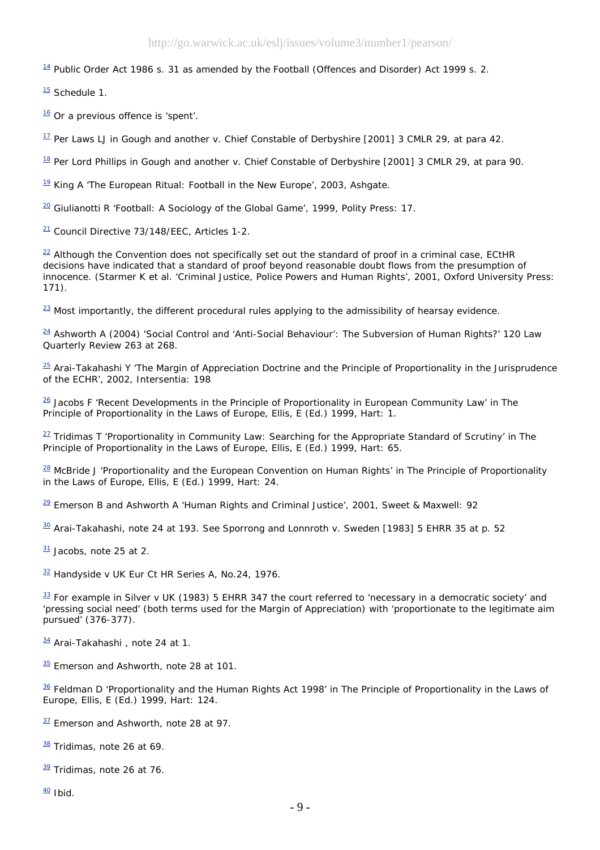$14$  Public Order Act 1986 s. 31 as amended by the Football (Offences and Disorder) Act 1999 s. 2.

 $\frac{15}{15}$  Schedule 1.

 $16$  Or a previous offence is 'spent'.

17 Per Laws LJ in *Gough and another v. Chief Constable of Derbyshire* [2001] 3 CMLR 29, at para 42.

18 Per Lord Phillips in *Gough and another v. Chief Constable of Derbyshire* [2001] 3 CMLR 29, at para 90.

 $19$  King A 'The European Ritual: Football in the New Europe', 2003, Ashgate.

 $20$  Giulianotti R 'Football: A Sociology of the Global Game', 1999, Polity Press: 17.

21 Council Directive 73/148/EEC, Articles 1-2.

 $22$  Although the Convention does not specifically set out the standard of proof in a criminal case, ECtHR decisions have indicated that a standard of proof beyond reasonable doubt flows from the presumption of innocence. (Starmer K et al. 'Criminal Justice, Police Powers and Human Rights', 2001, Oxford University Press: 171).

 $\frac{23}{2}$  Most importantly, the different procedural rules applying to the admissibility of hearsay evidence.

 $24$  Ashworth A (2004) 'Social Control and 'Anti-Social Behaviour': The Subversion of Human Rights?' 120 Law Quarterly Review 263 at 268.

 $\frac{25}{25}$  Arai-Takahashi Y 'The Margin of Appreciation Doctrine and the Principle of Proportionality in the Jurisprudence of the ECHR', 2002, Intersentia: 198

26 Jacobs F 'Recent Developments in the Principle of Proportionality in European Community Law' in *The Principle of Proportionality in the Laws of Europe*, Ellis, E (Ed.) 1999, Hart: 1.

27 Tridimas T 'Proportionality in Community Law: Searching for the Appropriate Standard of Scrutiny' in *The Principle of Proportionality in the Laws of Europe*, Ellis, E (Ed.) 1999, Hart: 65.

28 McBride J 'Proportionality and the European Convention on Human Rights' in *The Principle of Proportionality in the Laws of Europe*, Ellis, E (Ed.) 1999, Hart: 24.

 $29$  Emerson B and Ashworth A 'Human Rights and Criminal Justice', 2001, Sweet & Maxwell: 92

30 Arai-Takahashi, note 24 at 193. See *Sporrong and Lonnroth v. Sweden* [1983] 5 EHRR 35 at p. 52

 $31$  Jacobs, note 25 at 2.

<sup>32</sup> *Handyside v UK* Eur Ct HR Series A, No.24, 1976.

33 For example in *Silver v UK* (1983) 5 EHRR 347 the court referred to 'necessary in a democratic society' and 'pressing social need' (both terms used for the Margin of Appreciation) with 'proportionate to the legitimate aim pursued' (376-377).

34 Arai-Takahashi, note 24 at 1.

 $\frac{35}{10}$  Emerson and Ashworth, note 28 at 101.

36 Feldman D 'Proportionality and the Human Rights Act 1998' in *The Principle of Proportionality in the Laws of Europe*, Ellis, E (Ed.) 1999, Hart: 124.

 $37$  Emerson and Ashworth, note 28 at 97.

38 Tridimas, note 26 at 69.

39 Tridimas, note 26 at 76.

 $\frac{40}{1}$  Ibid.